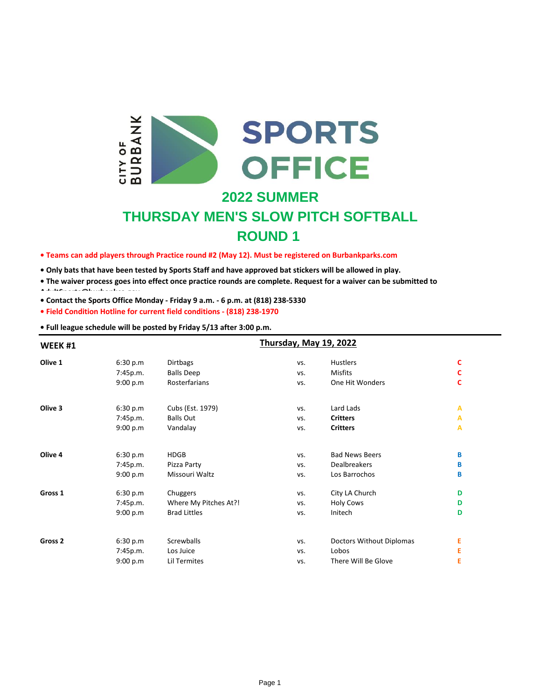

## **2022 SUMMER**

# **THURSDAY MEN'S SLOW PITCH SOFTBALL ROUND 1**

**• Teams can add players through Practice round #2 (May 12). Must be registered on Burbankparks.com**

**• Only bats that have been tested by Sports Staff and have approved bat stickers will be allowed in play.**

**• The waiver process goes into effect once practice rounds are complete. Request for a waiver can be submitted to** 

**• Contact the Sports Office Monday - Friday 9 a.m. - 6 p.m. at (818) 238-5330 AdultSports@burbankca.gov**

**• Field Condition Hotline for current field conditions - (818) 238-1970**

**• Full league schedule will be posted by Friday 5/13 after 3:00 p.m.**

| WEEK#1             |          | Thursday, May 19, 2022 |     |                          |   |  |  |
|--------------------|----------|------------------------|-----|--------------------------|---|--|--|
| Olive 1            | 6:30 p.m | <b>Dirtbags</b>        | VS. | Hustlers                 | c |  |  |
|                    | 7:45p.m. | <b>Balls Deep</b>      | VS. | Misfits                  | c |  |  |
|                    | 9:00 p.m | Rosterfarians          | VS. | One Hit Wonders          | C |  |  |
| Olive 3            | 6:30 p.m | Cubs (Est. 1979)       | VS. | Lard Lads                | А |  |  |
|                    | 7:45p.m. | <b>Balls Out</b>       | VS. | <b>Critters</b>          | А |  |  |
|                    | 9:00 p.m | Vandalay               | VS. | <b>Critters</b>          | А |  |  |
| Olive 4            | 6:30 p.m | <b>HDGB</b>            | VS. | <b>Bad News Beers</b>    | В |  |  |
|                    | 7:45p.m. | Pizza Party            | VS. | <b>Dealbreakers</b>      | В |  |  |
|                    | 9:00 p.m | Missouri Waltz         | VS. | Los Barrochos            | В |  |  |
| Gross 1            | 6:30 p.m | Chuggers               | VS. | City LA Church           | D |  |  |
|                    | 7:45p.m. | Where My Pitches At?!  | VS. | <b>Holy Cows</b>         | D |  |  |
|                    | 9:00 p.m | <b>Brad Littles</b>    | VS. | Initech                  | D |  |  |
| Gross <sub>2</sub> | 6:30 p.m | Screwballs             | VS. | Doctors Without Diplomas | Е |  |  |
|                    | 7:45p.m. | Los Juice              | VS. | Lobos                    | Е |  |  |
|                    | 9:00 p.m | Lil Termites           | VS. | There Will Be Glove      | Ε |  |  |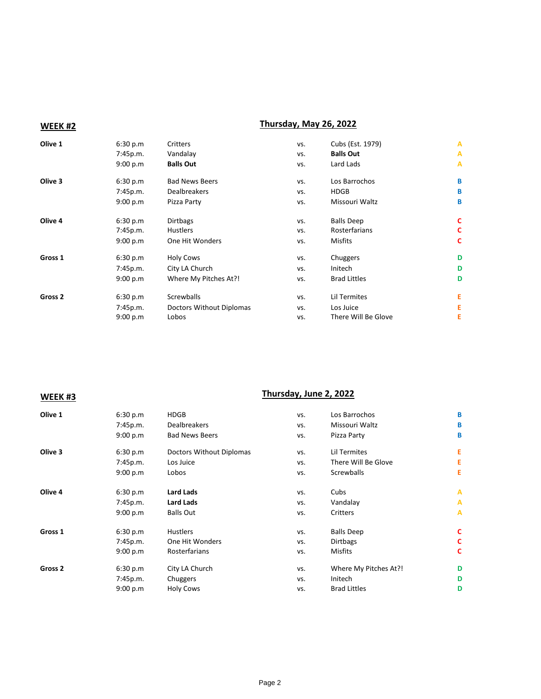## **WEEK #2 Thursday, May 26, 2022**

| Olive 1            | 6:30 p.m | Critters                 | VS. | Cubs (Est. 1979)    | Α |
|--------------------|----------|--------------------------|-----|---------------------|---|
|                    | 7:45p.m. | Vandalay                 | VS. | <b>Balls Out</b>    | Α |
|                    | 9:00 p.m | <b>Balls Out</b>         | VS. | Lard Lads           | Α |
| Olive 3            | 6:30 p.m | <b>Bad News Beers</b>    | VS. | Los Barrochos       | B |
|                    | 7:45p.m. | <b>Dealbreakers</b>      | VS. | <b>HDGB</b>         | B |
|                    | 9:00 p.m | Pizza Party              | VS. | Missouri Waltz      | B |
| Olive 4            | 6:30 p.m | <b>Dirtbags</b>          | VS. | <b>Balls Deep</b>   | c |
|                    | 7:45p.m. | <b>Hustlers</b>          | VS. | Rosterfarians       | c |
|                    | 9:00 p.m | One Hit Wonders          | VS. | <b>Misfits</b>      | C |
| Gross <sub>1</sub> | 6:30 p.m | <b>Holy Cows</b>         | VS. | Chuggers            | D |
|                    | 7:45p.m. | City LA Church           | VS. | Initech             | D |
|                    | 9:00 p.m | Where My Pitches At?!    | VS. | <b>Brad Littles</b> | D |
| Gross <sub>2</sub> | 6:30 p.m | Screwballs               | VS. | Lil Termites        | Ε |
|                    | 7:45p.m. | Doctors Without Diplomas | VS. | Los Juice           | Ε |
|                    | 9:00 p.m | Lobos                    | VS. | There Will Be Glove | Ε |

## **WEEK #3 Thursday, June 2, 2022**

| <b>Dealbreakers</b><br>Missouri Waltz<br>7:45p.m.<br>VS.                         | B |
|----------------------------------------------------------------------------------|---|
|                                                                                  |   |
| <b>Bad News Beers</b><br>9:00 p.m<br>Pizza Party<br>VS.                          | B |
| Olive 3<br>Doctors Without Diplomas<br>Lil Termites<br>6:30 p.m<br>VS.           | Е |
| There Will Be Glove<br>7:45p.m.<br>Los Juice<br>VS.                              | E |
| Screwballs<br>9:00 p.m<br>Lobos<br>VS.                                           | Ε |
| Olive 4<br>Lard Lads<br>Cubs<br>6:30 p.m<br>VS.                                  | A |
| <b>Lard Lads</b><br>7:45p.m.<br>Vandalay<br>VS.                                  | A |
| <b>Balls Out</b><br>9:00 p.m<br>Critters<br>VS.                                  | A |
| Gross 1<br><b>Hustlers</b><br><b>Balls Deep</b><br>6:30 p.m<br>VS.               | c |
| One Hit Wonders<br><b>Dirtbags</b><br>7:45p.m.<br>VS.                            | c |
| Rosterfarians<br>Misfits<br>9:00 p.m<br>VS.                                      | C |
| Gross <sub>2</sub><br>City LA Church<br>Where My Pitches At?!<br>6:30 p.m<br>VS. | D |
| Initech<br>7:45p.m.<br>Chuggers<br>VS.                                           | D |
| <b>Brad Littles</b><br><b>Holy Cows</b><br>9:00 p.m<br>VS.                       | D |